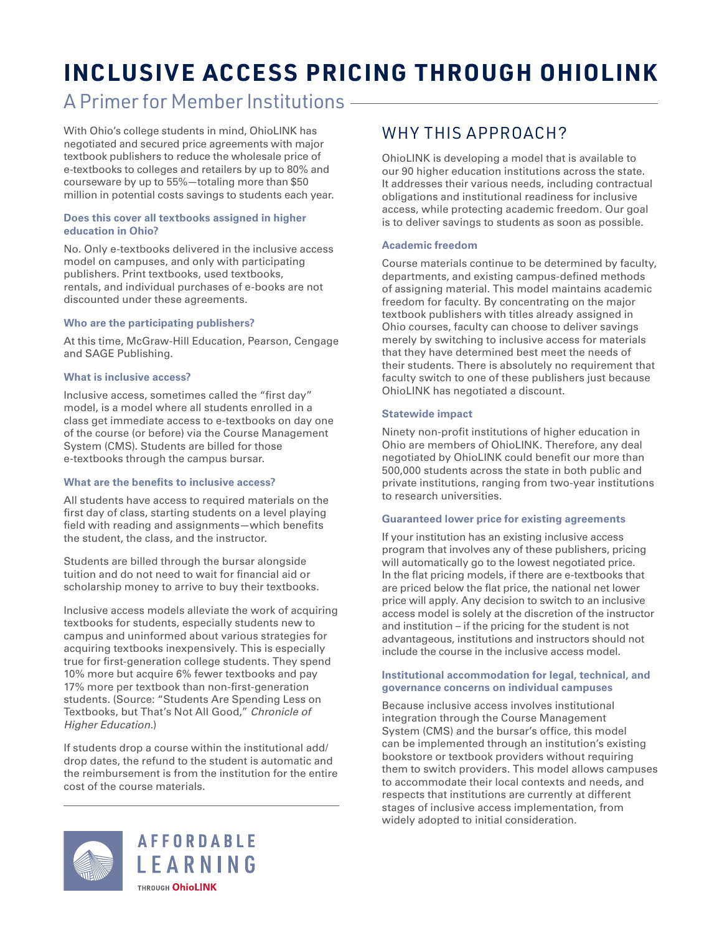# **INCLUSIVE ACCESS PRICING THROUGH OHIOLINK**

## A Primer for Member Institutions

With Ohio's college students in mind, OhioLINK has negotiated and secured price agreements with major textbook publishers to reduce the wholesale price of e-textbooks to colleges and retailers by up to 80% and courseware by up to 55%—totaling more than \$50 million in potential costs savings to students each year.

#### **Does this cover all textbooks assigned in higher education in Ohio?**

No. Only e-textbooks delivered in the inclusive access model on campuses, and only with participating publishers. Print textbooks, used textbooks, rentals, and individual purchases of e-books are not discounted under these agreements.

#### **Who are the participating publishers?**

At this time, McGraw-Hill Education, Pearson, Cengage and SAGE Publishing.

#### **What is inclusive access?**

Inclusive access, sometimes called the "first day" model, is a model where all students enrolled in a class get immediate access to e-textbooks on day one of the course (or before) via the Course Management System (CMS). Students are billed for those e-textbooks through the campus bursar.

### **What are the benefits to inclusive access?**

All students have access to required materials on the first day of class, starting students on a level playing field with reading and assignments—which benefits the student, the class, and the instructor.

Students are billed through the bursar alongside tuition and do not need to wait for financial aid or scholarship money to arrive to buy their textbooks.

Inclusive access models alleviate the work of acquiring textbooks for students, especially students new to campus and uninformed about various strategies for acquiring textbooks inexpensively. This is especially true for first-generation college students. They spend 10% more but acquire 6% fewer textbooks and pay 17% more per textbook than non-first-generation students. (Source: "Students Are Spending Less on Textbooks, but That's Not All Good," *Chronicle of Higher Education*.)

If students drop a course within the institutional add/ drop dates, the refund to the student is automatic and the reimbursement is from the institution for the entire cost of the course materials.



### WHY THIS APPROACH?

OhioLINK is developing a model that is available to our 90 higher education institutions across the state. It addresses their various needs, including contractual obligations and institutional readiness for inclusive access, while protecting academic freedom. Our goal is to deliver savings to students as soon as possible.

#### **Academic freedom**

Course materials continue to be determined by faculty, departments, and existing campus-defined methods of assigning material. This model maintains academic freedom for faculty. By concentrating on the major textbook publishers with titles already assigned in Ohio courses, faculty can choose to deliver savings merely by switching to inclusive access for materials that they have determined best meet the needs of their students. There is absolutely no requirement that faculty switch to one of these publishers just because OhioLINK has negotiated a discount.

#### **Statewide impact**

Ninety non-profit institutions of higher education in Ohio are members of OhioLINK. Therefore, any deal negotiated by OhioLINK could benefit our more than 500,000 students across the state in both public and private institutions, ranging from two-year institutions to research universities.

#### **Guaranteed lower price for existing agreements**

If your institution has an existing inclusive access program that involves any of these publishers, pricing will automatically go to the lowest negotiated price. In the flat pricing models, if there are e-textbooks that are priced below the flat price, the national net lower price will apply. Any decision to switch to an inclusive access model is solely at the discretion of the instructor and institution – if the pricing for the student is not advantageous, institutions and instructors should not include the course in the inclusive access model.

#### **Institutional accommodation for legal, technical, and governance concerns on individual campuses**

Because inclusive access involves institutional integration through the Course Management System (CMS) and the bursar's office, this model can be implemented through an institution's existing bookstore or textbook providers without requiring them to switch providers. This model allows campuses to accommodate their local contexts and needs, and respects that institutions are currently at different stages of inclusive access implementation, from widely adopted to initial consideration.